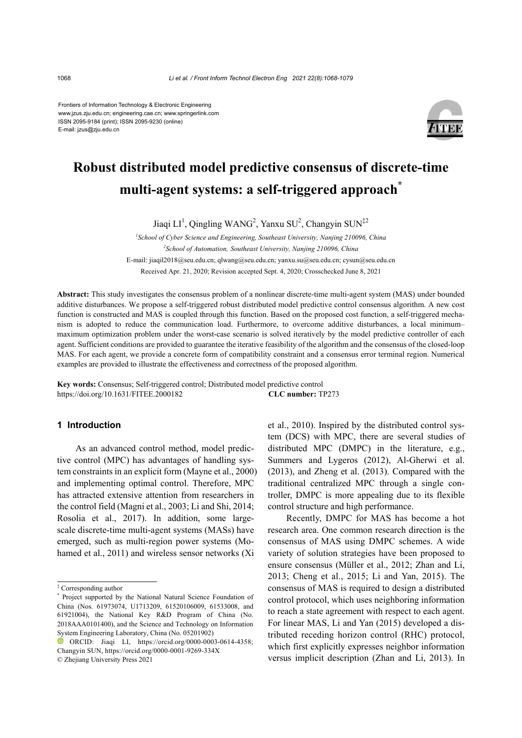Frontiers of Information Technology & Electronic Engineering www.jzus.zju.edu.cn; engineering.cae.cn; www.springerlink.com ISSN 2095-9184 (print); ISSN 2095-9230 (online) E-mail: jzus@zju.edu.cn



# **Robust distributed model predictive consensus of discrete-time multi-agent systems: a self-triggered approach\***

Jiaqi  $LI^1$ , Qingling WANG<sup>2</sup>, Yanxu SU<sup>2</sup>, Changyin SUN<sup>‡2</sup>

*1 School of Cyber Science and Engineering, Southeast University, Nanjing 210096, China 2 School of Automation, Southeast University, Nanjing 210096, China* E-mail: jiaqil2018@seu.edu.cn[; qlwang@seu.edu.cn;](mailto:qlwang@seu.edu.cn) yanxu.su@seu.edu.cn; cysun@seu.edu.cn Received Apr. 21, 2020; Revision accepted Sept. 4, 2020; Crosschecked June 8, 2021

**Abstract:** This study investigates the consensus problem of a nonlinear discrete-time multi-agent system (MAS) under bounded additive disturbances. We propose a self-triggered robust distributed model predictive control consensus algorithm. A new cost function is constructed and MAS is coupled through this function. Based on the proposed cost function, a self-triggered mechanism is adopted to reduce the communication load. Furthermore, to overcome additive disturbances, a local minimum– maximum optimization problem under the worst-case scenario is solved iteratively by the model predictive controller of each agent. Sufficient conditions are provided to guarantee the iterative feasibility of the algorithm and the consensus of the closed-loop MAS. For each agent, we provide a concrete form of compatibility constraint and a consensus error terminal region. Numerical examples are provided to illustrate the effectiveness and correctness of the proposed algorithm.

**Key words:** Consensus; Self-triggered control; Distributed model predictive control https://doi.org/10.1631/FITEE.2000182 **CLC number:** TP273

## **1 Introduction**

As an advanced control method, model predictive control (MPC) has advantages of handling system constraints in an explicit form (Mayne et al., 2000) and implementing optimal control. Therefore, MPC has attracted extensive attention from researchers in the control field (Magni et al., 2003; Li and Shi, 2014; Rosolia et al., 2017). In addition, some largescale discrete-time multi-agent systems (MASs) have emerged, such as multi-region power systems (Mohamed et al., 2011) and wireless sensor networks (Xi

© Zhejiang University Press 2021

et al., 2010). Inspired by the distributed control system (DCS) with MPC, there are several studies of distributed MPC (DMPC) in the literature, e.g., Summers and Lygeros (2012), Al-Gherwi et al. (2013), and Zheng et al. (2013). Compared with the traditional centralized MPC through a single controller, DMPC is more appealing due to its flexible control structure and high performance.

Recently, DMPC for MAS has become a hot research area. One common research direction is the consensus of MAS using DMPC schemes. A wide variety of solution strategies have been proposed to ensure consensus (Müller et al., 2012; Zhan and Li, 2013; Cheng et al., 2015; Li and Yan, 2015). The consensus of MAS is required to design a distributed control protocol, which uses neighboring information to reach a state agreement with respect to each agent. For linear MAS, Li and Yan (2015) developed a distributed receding horizon control (RHC) protocol, which first explicitly expresses neighbor information versus implicit description (Zhan and Li, 2013). In

<sup>‡</sup> Corresponding author

<sup>\*</sup> Project supported by the National Natural Science Foundation of China (Nos. 61973074, U1713209, 61520106009, 61533008, and 61921004), the National Key R&D Program of China (No. 2018AAA0101400), and the Science and Technology on Information System Engineering Laboratory, China (No. 05201902)

ORCID: Jiaqi LI, https://orcid.org/0000-0003-0614-4358; Changyin SUN, https://orcid.org/0000-0001-9269-334X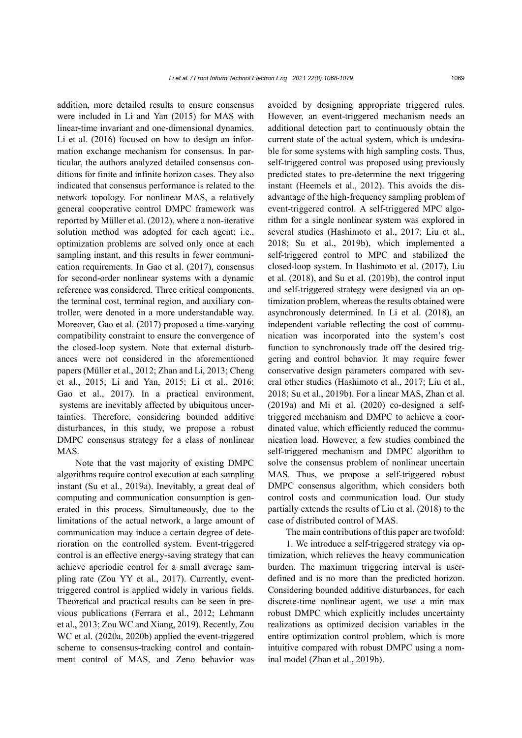addition, more detailed results to ensure consensus were included in Li and Yan (2015) for MAS with linear-time invariant and one-dimensional dynamics. Li et al. (2016) focused on how to design an information exchange mechanism for consensus. In particular, the authors analyzed detailed consensus conditions for finite and infinite horizon cases. They also indicated that consensus performance is related to the network topology. For nonlinear MAS, a relatively general cooperative control DMPC framework was reported by Müller et al. (2012), where a non-iterative solution method was adopted for each agent; i.e., optimization problems are solved only once at each sampling instant, and this results in fewer communication requirements. In Gao et al. (2017), consensus for second-order nonlinear systems with a dynamic reference was considered. Three critical components, the terminal cost, terminal region, and auxiliary controller, were denoted in a more understandable way. Moreover, Gao et al. (2017) proposed a time-varying compatibility constraint to ensure the convergence of the closed-loop system. Note that external disturbances were not considered in the aforementioned papers (Müller et al., 2012; Zhan and Li, 2013; Cheng et al., 2015; Li and Yan, 2015; Li et al., 2016; Gao et al., 2017). In a practical environment, systems are inevitably affected by ubiquitous uncertainties. Therefore, considering bounded additive disturbances, in this study, we propose a robust DMPC consensus strategy for a class of nonlinear MAS.

Note that the vast majority of existing DMPC algorithms require control execution at each sampling instant (Su et al., 2019a). Inevitably, a great deal of computing and communication consumption is generated in this process. Simultaneously, due to the limitations of the actual network, a large amount of communication may induce a certain degree of deterioration on the controlled system. Event-triggered control is an effective energy-saving strategy that can achieve aperiodic control for a small average sampling rate (Zou YY et al., 2017). Currently, eventtriggered control is applied widely in various fields. Theoretical and practical results can be seen in previous publications (Ferrara et al., 2012; Lehmann et al., 2013; Zou WC and Xiang, 2019). Recently, Zou WC et al. (2020a, 2020b) applied the event-triggered scheme to consensus-tracking control and containment control of MAS, and Zeno behavior was

avoided by designing appropriate triggered rules. However, an event-triggered mechanism needs an additional detection part to continuously obtain the current state of the actual system, which is undesirable for some systems with high sampling costs. Thus, self-triggered control was proposed using previously predicted states to pre-determine the next triggering instant (Heemels et al., 2012). This avoids the disadvantage of the high-frequency sampling problem of event-triggered control. A self-triggered MPC algorithm for a single nonlinear system was explored in several studies (Hashimoto et al., 2017; Liu et al., 2018; Su et al., 2019b), which implemented a self-triggered control to MPC and stabilized the closed-loop system. In Hashimoto et al. (2017), Liu et al. (2018), and Su et al. (2019b), the control input and self-triggered strategy were designed via an optimization problem, whereas the results obtained were asynchronously determined. In Li et al. (2018), an independent variable reflecting the cost of communication was incorporated into the system's cost function to synchronously trade off the desired triggering and control behavior. It may require fewer conservative design parameters compared with several other studies (Hashimoto et al., 2017; Liu et al., 2018; Su et al., 2019b). For a linear MAS, Zhan et al. (2019a) and Mi et al. (2020) co-designed a selftriggered mechanism and DMPC to achieve a coordinated value, which efficiently reduced the communication load. However, a few studies combined the self-triggered mechanism and DMPC algorithm to solve the consensus problem of nonlinear uncertain MAS. Thus, we propose a self-triggered robust DMPC consensus algorithm, which considers both control costs and communication load. Our study partially extends the results of Liu et al. (2018) to the case of distributed control of MAS.

The main contributions of this paper are twofold:

1. We introduce a self-triggered strategy via optimization, which relieves the heavy communication burden. The maximum triggering interval is userdefined and is no more than the predicted horizon. Considering bounded additive disturbances, for each discrete-time nonlinear agent, we use a min–max robust DMPC which explicitly includes uncertainty realizations as optimized decision variables in the entire optimization control problem, which is more intuitive compared with robust DMPC using a nominal model (Zhan et al., 2019b).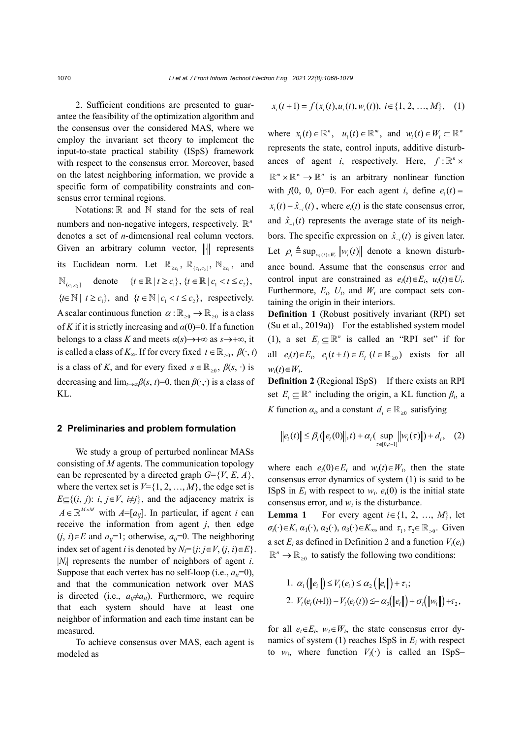2. Sufficient conditions are presented to guarantee the feasibility of the optimization algorithm and the consensus over the considered MAS, where we employ the invariant set theory to implement the input-to-state practical stability (ISpS) framework with respect to the consensus error. Moreover, based on the latest neighboring information, we provide a specific form of compatibility constraints and consensus error terminal regions.

Notations:  $\mathbb R$  and  $\mathbb N$  stand for the sets of real numbers and non-negative integers, respectively.  $\mathbb{R}^n$ denotes a set of *n*-dimensional real column vectors. Given an arbitrary column vector,  $\|\cdot\|$  represents its Euclidean norm. Let  $\mathbb{R}_{\geq c_1}$ ,  $\mathbb{R}_{(c_1,c_2]}$ ,  $\mathbb{N}_{\geq c_1}$ , and  $\mathbb{N}_{(c, c_1]}$  denote  $\{t \in \mathbb{R} \mid t \geq c_1\}, \{t \in \mathbb{R} \mid c_1 < t \leq c_2\},\$  $\{t \in \mathbb{N} \mid t \geq c_1\}$ , and  $\{t \in \mathbb{N} \mid c_1 < t \leq c_2\}$ , respectively. A scalar continuous function  $\alpha : \mathbb{R}_{\geq 0} \to \mathbb{R}_{\geq 0}$  is a class of *K* if it is strictly increasing and  $\alpha(0)=0$ . If a function belongs to a class *K* and meets  $\alpha(s) \rightarrow +\infty$  as  $s \rightarrow +\infty$ , it is called a class of  $K_{\infty}$ . If for every fixed  $t \in \mathbb{R}_{>0}$ ,  $\beta(\cdot, t)$ is a class of *K*, and for every fixed  $s \in \mathbb{R}_{>0}$ ,  $\beta(s, \cdot)$  is decreasing and  $\lim_{t\to\infty} \beta(s, t) = 0$ , then  $\beta(\cdot, \cdot)$  is a class of KL.

### **2 Preliminaries and problem formulation**

We study a group of perturbed nonlinear MASs consisting of *M* agents. The communication topology can be represented by a directed graph  $G=\{V, E, A\}$ , where the vertex set is  $V = \{1, 2, ..., M\}$ , the edge set is *E*⊆{(*i*, *j*): *i*, *j*∈*V*, *i*≠*j*}, and the adjacency matrix is  $A \in \mathbb{R}^{M \times M}$  with  $A = [a_{ij}]$ . In particular, if agent *i* can receive the information from agent *j*, then edge  $(j, i) \in E$  and  $a_{ij} = 1$ ; otherwise,  $a_{ij} = 0$ . The neighboring index set of agent *i* is denoted by  $N_i = \{j : j \in V, (j, i) \in E\}.$ |*Ni*| represents the number of neighbors of agent *i*. Suppose that each vertex has no self-loop (i.e.,  $a_{ii}=0$ ), and that the communication network over MAS is directed (i.e.,  $a_{ij} \neq a_{ji}$ ). Furthermore, we require that each system should have at least one neighbor of information and each time instant can be measured.

To achieve consensus over MAS, each agent is modeled as

$$
x_i(t+1) = f(x_i(t), u_i(t), w_i(t)), i \in \{1, 2, ..., M\}, (1)
$$

where  $x_i(t) \in \mathbb{R}^n$ ,  $u_i(t) \in \mathbb{R}^m$ , and  $w_i(t) \in W_i \subset \mathbb{R}^m$ represents the state, control inputs, additive disturbances of agent *i*, respectively. Here,  $f: \mathbb{R}^n \times$  $\mathbb{R}^m \times \mathbb{R}^w \to \mathbb{R}^n$  is an arbitrary nonlinear function with  $f(0, 0, 0) = 0$ . For each agent *i*, define  $e_i(t) =$  $x_i(t) - \hat{x}_{i}(t)$ , where  $e_i(t)$  is the state consensus error, and  $\hat{x}_{-i}(t)$  represents the average state of its neighbors. The specific expression on  $\hat{x}_{-i}(t)$  is given later. Let  $\rho_i \triangleq \sup_{w_i(t) \in W_i} ||w_i(t)||$  denote a known disturbance bound. Assume that the consensus error and control input are constrained as  $e_i(t) \in E_i$ ,  $u_i(t) \in U_i$ . Furthermore,  $E_i$ ,  $U_i$ , and  $W_i$  are compact sets containing the origin in their interiors.

**Definition 1** (Robust positively invariant (RPI) set (Su et al., 2019a)) For the established system model (1), a set  $E_i \subseteq \mathbb{R}^n$  is called an "RPI set" if for all  $e_i(t) \in E_i$ ,  $e_i(t+l) \in E_i$   $(l \in \mathbb{R}_{>0})$  exists for all  $w_i(t) \in W_i$ .

**Definition 2** (Regional ISpS) If there exists an RPI set  $E_i \subseteq \mathbb{R}^n$  including the origin, a KL function  $\beta_i$ , a *K* function  $\alpha_i$ , and a constant  $d_i \in \mathbb{R}_{>0}$  satisfying

$$
||e_i(t)|| \leq \beta_i (||e_i(0)||, t) + \alpha_i (\sup_{\tau \in [0, t-1]} ||w_i(\tau)||) + d_i, \quad (2)
$$

where each  $e_i(0) \in E_i$  and  $w_i(t) \in W_i$ , then the state consensus error dynamics of system (1) is said to be ISpS in  $E_i$  with respect to  $w_i$ .  $e_i(0)$  is the initial state consensus error, and  $w_i$  is the disturbance.

**Lemma 1** For every agent  $i \in \{1, 2, ..., M\}$ , let  $\sigma_i(\cdot) \in K$ ,  $\alpha_1(\cdot)$ ,  $\alpha_2(\cdot)$ ,  $\alpha_3(\cdot) \in K_\infty$ , and  $\tau_1$ ,  $\tau_2 \in \mathbb{R}_{\geq 0}$ . Given a set  $E_i$  as defined in Definition 2 and a function  $V_i(e_i)$  $\mathbb{R}^n \to \mathbb{R}_{\geq 0}$  to satisfy the following two conditions:

1. 
$$
\alpha_1(||e_i||) \le V_i(e_i) \le \alpha_2 (||e_i||) + \tau_1;
$$
  
\n2.  $V_i(e_i(t+1)) - V_i(e_i(t)) \le -\alpha_3 (||e_i||) + \sigma_i (||w_i||) + \tau_2,$ 

for all  $e_i \in E_i$ ,  $w_i \in W_i$ , the state consensus error dynamics of system  $(1)$  reaches ISpS in  $E_i$  with respect to  $w_i$ , where function  $V_i(\cdot)$  is called an ISpS–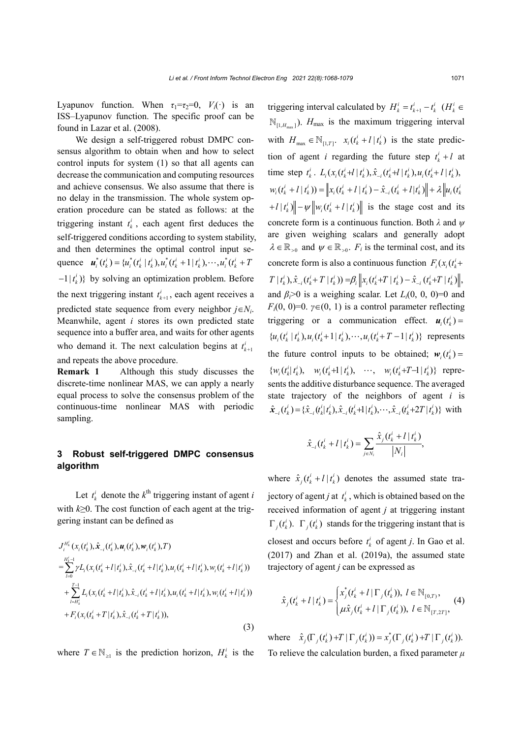Lyapunov function. When  $\tau_1 = \tau_2 = 0$ ,  $V_i(\cdot)$  is an ISS–Lyapunov function. The specific proof can be found in Lazar et al. (2008).

We design a self-triggered robust DMPC consensus algorithm to obtain when and how to select control inputs for system (1) so that all agents can decrease the communication and computing resources and achieve consensus. We also assume that there is no delay in the transmission. The whole system operation procedure can be stated as follows: at the triggering instant  $t_k^i$ , each agent first deduces the self-triggered conditions according to system stability, and then determines the optimal control input sequence  $\mathbf{u}_i^*(t_k^i) = \{u_i^*(t_k^i | t_k^i), u_i^*(t_k^i + 1 | t_k^i), \cdots, u_i^*(t_k^i + 1)\}$  $-1|t_k^i\rangle$ } by solving an optimization problem. Before the next triggering instant  $t_{k+1}^i$ , each agent receives a predicted state sequence from every neighbor  $j \in N_i$ . Meanwhile, agent *i* stores its own predicted state sequence into a buffer area, and waits for other agents who demand it. The next calculation begins at  $t_{k+1}$ <sup>*i*</sup> and repeats the above procedure.

**Remark 1** Although this study discusses the discrete-time nonlinear MAS, we can apply a nearly equal process to solve the consensus problem of the continuous-time nonlinear MAS with periodic sampling.

# **3 Robust self-triggered DMPC consensus algorithm**

Let  $t_k^i$  denote the  $k^{\text{th}}$  triggering instant of agent *i* with *k*≥0. The cost function of each agent at the triggering instant can be defined as

$$
J_i^{H'_k}(x_i(t_k^i), \hat{x}_{-i}(t_k^i), \mathbf{u}_i(t_k^i), \mathbf{w}_i(t_k^i), T)
$$
  
\n=
$$
\sum_{l=0}^{H'_k-1} \gamma L_i(x_i(t_k^i + l | t_k^i), \hat{x}_{-i}(t_k^i + l | t_k^i), u_i(t_k^i + l | t_k^i), w_i(t_k^i + l | t_k^i))
$$
  
\n+
$$
\sum_{l=H'_k}^{T-1} L_i(x_i(t_k^i + l | t_k^i), \hat{x}_{-i}(t_k^i + l | t_k^i), u_i(t_k^i + l | t_k^i), w_i(t_k^i + l | t_k^i))
$$
  
\n+
$$
F_i(x_i(t_k^i + T | t_k^i), \hat{x}_{-i}(t_k^i + T | t_k^i)),
$$
\n(3)

where  $T \in \mathbb{N}_{\geq 1}$  is the prediction horizon,  $H_k^i$  is the

triggering interval calculated by  $H_k^i = t_{k+1}^i - t_k^i$  ( $H_k^i \in$  $\mathbb{N}_{\left[1, H_{\text{max}}\right]}$ ).  $H_{\text{max}}$  is the maximum triggering interval with  $H_{\text{max}} \in \mathbb{N}_{[1, T]}$ .  $x_i ( t_k^i + l | t_k^i )$  is the state prediction of agent *i* regarding the future step  $t_k^i + l$  at time step  $t_k^i$ .  $L_i(x_i(t_k+1 | t_k), \hat{x}_{-i}(t_k+1 | t_k), u_i(t_k+1 | t_k),$  $(w_i(t_k^i + l | t_k^i)) = ||x_i(t_k^i + l | t_k^i) - \hat{x}_{-i}(t_k^i + l | t_k^i) || + \lambda ||u_i(t_k^i)$  $||t_i|| + |t_i|| + ||t_i|| + ||t_i||$  is the stage cost and its concrete form is a continuous function. Both *λ* and *ψ* are given weighing scalars and generally adopt  $\lambda \in \mathbb{R}_{\geq 0}$  and  $\psi \in \mathbb{R}_{\geq 0}$ .  $F_i$  is the terminal cost, and its concrete form is also a continuous function  $F_i(x_i(t_k^i))$  $|T(t_k^i), \hat{x}_{-i}(t_k^i+T|t_k^i)) = \beta_i ||x_i(t_k^i+T|t_k^i) - \hat{x}_{-i}(t_k^i+T|t_k^i)||,$ and  $\beta_i$ >0 is a weighing scalar. Let  $L_i(0, 0, 0)$ =0 and *F<sub>i</sub>*(0, 0)=0.  $\gamma \in (0, 1)$  is a control parameter reflecting triggering or a communication effect.  $\mathbf{u}_i(t_k^i) =$  $\{u_i(t_k^i | t_k^i), u_i(t_k^i+1 | t_k^i), \cdots, u_i(t_k^i+T-1 | t_k^i)\}\$  represents the future control inputs to be obtained;  $w_i(t_k^i) =$  $\{w_i(t_i^i | t_i^i), \quad w_i(t_i^i + 1 | t_i^i), \quad \cdots, \quad w_i(t_i^i + T - 1 | t_i^i)\}\$  represents the additive disturbance sequence. The averaged state trajectory of the neighbors of agent *i* is  $\hat{\mathbf{x}}_{-i}(t_k^i) = {\hat{\mathbf{x}}_{-i}(t_k^i | t_k^i), \hat{\mathbf{x}}_{-i}(t_k^i+1 | t_k^i), \cdots, \hat{\mathbf{x}}_{-i}(t_k^i+2T | t_k^i)}$  with

$$
\hat{x}_{-i}(t_k^i + l | t_k^i) = \sum_{j \in N_i} \frac{\hat{x}_j(t_k^i + l | t_k^i)}{|N_i|},
$$

where  $\hat{x}_j(t_k^i + l | t_k^i)$  denotes the assumed state trajectory of agent *j* at  $t_k^i$ , which is obtained based on the received information of agent *j* at triggering instant  $\Gamma_j(t_k^i)$ .  $\Gamma_j(t_k^i)$  stands for the triggering instant that is closest and occurs before  $t_k^i$  of agent *j*. In Gao et al. (2017) and Zhan et al. (2019a), the assumed state trajectory of agent *j* can be expressed as

$$
\hat{x}_j(t_k^i + l | t_k^i) = \begin{cases} x_j^*(t_k^i + l | \Gamma_j(t_k^i)), \ l \in \mathbb{N}_{[0,T)}, \\ \mu \hat{x}_j(t_k^i + l | \Gamma_j(t_k^i)), \ l \in \mathbb{N}_{[T,2T]}, \end{cases}
$$
(4)

where  $\hat{x}_j(\Gamma_j(t_k^i) + T | \Gamma_j(t_k^i)) = x_j^*(\Gamma_j(t_k^i) + T | \Gamma_j(t_k^i)).$ To relieve the calculation burden, a fixed parameter *μ*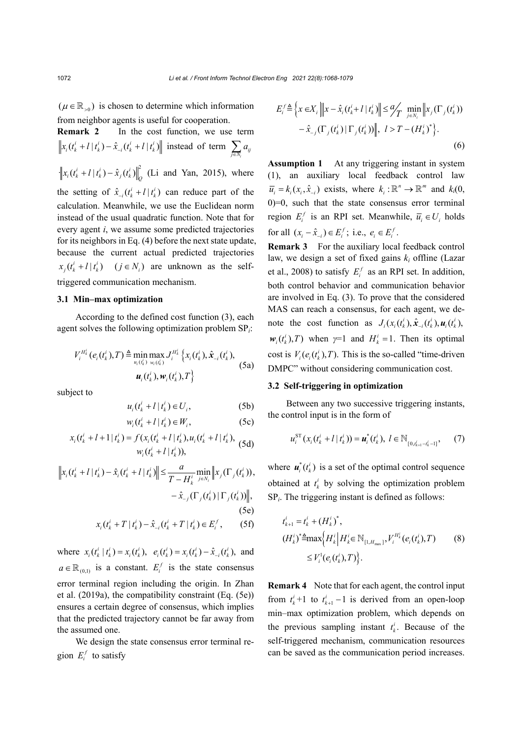$(\mu \in \mathbb{R}_{>0})$  is chosen to determine which information from neighbor agents is useful for cooperation.

**Remark 2** In the cost function, we use term  $\left| x_i(t_k^i + l | t_k^i) - \hat{x}_{-i}(t_k^i + l | t_k^i) \right|$  instead of term  $\sum_{j \in N_i} a_{ij}$ *i*  $\left\| x_i(t_k^i + l | t_k^i) - \hat{x}_{j}(t_k^i) \right\|_{Q}^{2}$  (Li and Yan, 2015), where the setting of  $\hat{x}_{i}(t_k + l | t_k^i)$  can reduce part of the calculation. Meanwhile, we use the Euclidean norm instead of the usual quadratic function. Note that for every agent *i*, we assume some predicted trajectories for its neighbors in Eq. (4) before the next state update, because the current actual predicted trajectories  $x_j(t_k^i + l | t_k^i)$   $(j \in N_i)$  are unknown as the selftriggered communication mechanism.

#### **3.1 Min–max optimization**

According to the defined cost function (3), each agent solves the following optimization problem SP*i*:

$$
V_i^{H'_k}(e_i(t'_k),T) \triangleq \min_{u_i(t'_k)} \max_{w_i(t'_k)} J_i^{H'_k} \left\{ x_i(t'_k), \hat{x}_{-i}(t'_k),
$$
  

$$
\mathbf{u}_i(t'_k), \mathbf{w}_i(t'_k), T \right\}
$$
 (5a)

subject to

$$
u_i(t_k^i + l \,|\, t_k^i) \in U_i,\tag{5b}
$$

$$
w_i(t_k^i + l \mid t_k^i) \in W_i, \tag{5c}
$$

$$
x_i(t_k^i + l + 1 | t_k^i) = f(x_i(t_k^i + l | t_k^i), u_i(t_k^i + l | t_k^i),
$$
  

$$
w_i(t_k^i + l | t_k^i)),
$$
 (5d)

$$
\|x_i(t_k^i + l | t_k^i) - \hat{x}_i(t_k^i + l | t_k^i) \| \le \frac{a}{T - H_k^i} \min_{j \in N_i} \|x_j(\Gamma_j(t_k^i)),
$$
  

$$
- \hat{x}_{-j}(\Gamma_j(t_k^i) | \Gamma_j(t_k^i)) \|,
$$
  
(5e)  

$$
x_i(t_k^i + T | t_k^i) - \hat{x}_{-i}(t_k^i + T | t_k^i) \in E_i^f,
$$
 (5f)

where  $x_i(t_k^i | t_k^i) = x_i(t_k^i)$ ,  $e_i(t_k^i) = x_i(t_k^i) - \hat{x}_{-i}(t_k^i)$ , and  $a \in \mathbb{R}_{(0,1)}$  is a constant.  $E_i^f$  is the state consensus error terminal region including the origin. In Zhan et al. (2019a), the compatibility constraint (Eq. (5e)) ensures a certain degree of consensus, which implies that the predicted trajectory cannot be far away from the assumed one.

We design the state consensus error terminal region  $E_i^f$  to satisfy

$$
E_i^f \triangleq \left\{ x \in X_i \left\| \left\| x - \hat{x}_i(t_k^i + l \mid t_k^i) \right\| \leq \frac{a}{T} \min_{j \in N_i} \left\| x_j(\Gamma_j(t_k^i)) \right\| - \hat{x}_{-j}(\Gamma_j(t_k^i) \mid \Gamma_j(t_k^i)) \right\|, \ l > T - (H_k^i)^* \right\}.
$$
\n
$$
(6)
$$

**Assumption 1** At any triggering instant in system (1), an auxiliary local feedback control law  $\overline{u}_i = k_i(x_i, \hat{x}_{-i})$  exists, where  $k_i : \mathbb{R}^n \to \mathbb{R}^m$  and  $k_i(0, \hat{x}_{-i})$ 0)=0, such that the state consensus error terminal region  $E_i^f$  is an RPI set. Meanwhile,  $\overline{u}_i \in U_i$  holds for all  $(x_i - \hat{x}_{-i}) \in E_i^f$ ; i.e.,  $e_i \in E_i^f$ .

**Remark 3** For the auxiliary local feedback control law, we design a set of fixed gains *ki* offline (Lazar et al., 2008) to satisfy  $E_i^f$  as an RPI set. In addition, both control behavior and communication behavior are involved in Eq. (3). To prove that the considered MAS can reach a consensus, for each agent, we denote the cost function as  $J_i(x_i(t_k^i), \hat{x}_{-i}(t_k^i), \mathbf{u}_i(t_k^i))$  $w_i(t_k^i)$ , *T*) when  $\gamma=1$  and  $H_k^i=1$ . Then its optimal cost is  $V_i ( e_i(t_i^i), T)$ . This is the so-called "time-driven" DMPC" without considering communication cost.

#### **3.2 Self-triggering in optimization**

Between any two successive triggering instants, the control input is in the form of

$$
u_i^{\rm ST}(x_i(t_k^i+l\,|\,t_k^i)) = \boldsymbol{u}_i^*(t_k^i),\ l \in \mathbb{N}_{[0,t_{k+1}^i-t_k^i-1]},\qquad(7)
$$

where  $\mathbf{u}_i^*(t_k^i)$  is a set of the optimal control sequence obtained at  $t_k^i$  by solving the optimization problem SP*i*. The triggering instant is defined as follows:

$$
t_{k+1}^i = t_k^i + (H_k^i)^*,
$$
  
\n
$$
(H_k^i)^* \triangleq \max \Big\{ H_k^i \Big| H_k^i \in \mathbb{N}_{[1, H_{\text{max}}]}, V_i^{H_k^i} (e_i(t_k^i), T) \Big\}
$$
\n
$$
\leq V_i^1(e_i(t_k^i), T) \Big\}.
$$
\n(8)

**Remark 4** Note that for each agent, the control input from  $t_k^i$ +1 to  $t_{k+1}^i$  -1 is derived from an open-loop min–max optimization problem, which depends on the previous sampling instant  $t_k^i$ . Because of the self-triggered mechanism, communication resources can be saved as the communication period increases.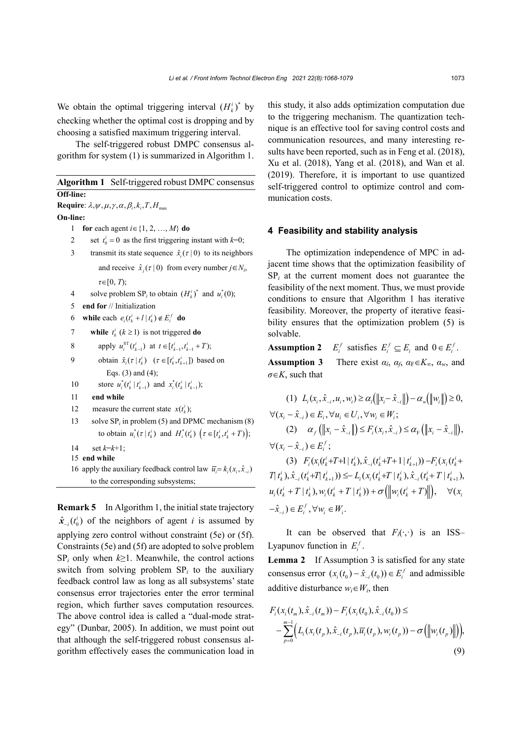We obtain the optimal triggering interval  $(H<sub>i</sub><sup>i</sup>)<sup>*</sup>$  by checking whether the optimal cost is dropping and by choosing a satisfied maximum triggering interval.

The self-triggered robust DMPC consensus algorithm for system (1) is summarized in Algorithm 1.

|           | <b>Algorithm 1</b> Self-triggered robust DMPC consensus |
|-----------|---------------------------------------------------------|
| Off-line: |                                                         |

# **Require**:  $\lambda, \psi, \mu, \gamma, \alpha, \beta_i, k_i, T, H_{max}$ **On-line:**  1 **for** each agent *i*∈{1, 2, …, *M*} **do** 2 set  $t_0^i = 0$  as the first triggering instant with  $k=0$ ; 3 transmit its state sequence  $\hat{x}$  ( $\tau$  | 0) to its neighbors and receive  $\hat{x}_i(\tau | 0)$  from every number  $j \in N_i$ , *τ*∈[0, *T*); 4 solve problem SP<sub>*i*</sub> to obtain  $(H_k^i)^*$  and  $u_i^*(0)$ ; 5 **end for** // Initialization 6 while each  $e_i(t_k^i + l | t_k^i) \notin E_i^f$  do 7 **while**  $t_k^i$  ( $k \ge 1$ ) is not triggered **do** 8 apply  $u_i^{\text{ST}}(t_{k-1}^i)$  at  $t \in [t_{k-1}^i, t_{k-1}^i + T);$ 9 obtain  $\hat{x}_i(\tau | t_k^i)$   $(\tau \in [t_k^i, t_{k+1}^i])$  based on Eqs. (3) and (4); 10 store  $u_i^*(t_k^i | t_{k-1}^i)$  and  $x_i^*(t_k^i | t_{k-1}^i);$ 11 **end while** 12 measure the current state  $x(t_k^i)$ ; 13 solve SP*<sup>i</sup>* in problem (5) and DPMC mechanism (8) to obtain  $u_i^*(\tau | t_k^i)$  and  $H_i^*(t_k^i)$   $(\tau \in [t_k^i, t_k^i + T));$

- 14 set *k*=*k*+1;
- 15 **end while**
- 16 apply the auxiliary feedback control law  $\overline{u} = k_x(x_i, \hat{x})$ to the corresponding subsystems;

**Remark 5** In Algorithm 1, the initial state trajectory  $\hat{\mathbf{x}}_{-i}(t_0^i)$  of the neighbors of agent *i* is assumed by applying zero control without constraint (5e) or (5f). Constraints (5e) and (5f) are adopted to solve problem  $SP_i$  only when  $k \geq 1$ . Meanwhile, the control actions switch from solving problem  $SP<sub>i</sub>$  to the auxiliary feedback control law as long as all subsystems' state consensus error trajectories enter the error terminal region, which further saves computation resources. The above control idea is called a "dual-mode strategy" (Dunbar, 2005). In addition, we must point out that although the self-triggered robust consensus algorithm effectively eases the communication load in

this study, it also adds optimization computation due to the triggering mechanism. The quantization technique is an effective tool for saving control costs and communication resources, and many interesting results have been reported, such as in Feng et al. (2018), Xu et al. (2018), Yang et al. (2018), and Wan et al. (2019). Therefore, it is important to use quantized self-triggered control to optimize control and communication costs.

#### **4 Feasibility and stability analysis**

The optimization independence of MPC in adjacent time shows that the optimization feasibility of  $SP_i$  at the current moment does not guarantee the feasibility of the next moment. Thus, we must provide conditions to ensure that Algorithm 1 has iterative feasibility. Moreover, the property of iterative feasibility ensures that the optimization problem (5) is solvable.

**Assumption 2**  $E_i^f$  satisfies  $E_i^f \subseteq E_i$  and  $0 \in E_i^f$ .

**Assumption 3** There exist  $\alpha_l$ ,  $\alpha_f$ ,  $\alpha_F \in K_\infty$ ,  $\alpha_w$ , and *σ*∈*K*, such that

$$
(1) \ L_{i}(x_{i}, \hat{x}_{-i}, u_{i}, w_{i}) \ge \alpha_{i}(\|x_{i} - \hat{x}_{-i}\|) - \alpha_{w}(\|w_{i}\|) \ge 0,
$$
  
\n
$$
\forall (x_{i} - \hat{x}_{-i}) \in E_{i}, \forall u_{i} \in U_{i}, \forall w_{i} \in W_{i};
$$
  
\n
$$
(2) \ \alpha_{f}(\|x_{i} - \hat{x}_{-i}\|) \le F_{i}(x_{i}, \hat{x}_{-i}) \le \alpha_{F}(\|x_{i} - \hat{x}_{-i}\|),
$$
  
\n
$$
\forall (x_{i} - \hat{x}_{-i}) \in E_{i}^{f};
$$
  
\n
$$
(3) \ F_{i}(x_{i}(t_{k}^{i} + T + 1 | t_{k}^{i}), \hat{x}_{-i}(t_{k}^{i} + T + 1 | t_{k+1}^{i})) - F_{i}(x_{i}(t_{k}^{i} + T + 1 | t_{k+1}^{i}))
$$

 $T(t_i), \hat{x}_{i} (t_i^i+T|t_{i+1}^i)) \leq L_i(x_i(t_i^i+T|t_i^i), \hat{x}_{i} (t_i^i+T|t_{i+1}^i))$  $u_i(t_k^i + T | t_k^i), w_i(t_k^i + T | t_k^i)) + \sigma(\left\|w_i(t_k^i + T)\right\|), \quad \forall (x_i^i)$  $-\hat{x}_{-i}$ )  $\in E_i^f$ ,  $\forall w_i \in W_i$ .

It can be observed that  $F_i(\cdot, \cdot)$  is an ISS– Lyapunov function in  $E_i^f$ .

**Lemma 2** If Assumption 3 is satisfied for any state consensus error  $(x_i(t_0) - \hat{x}_{-i}(t_0)) \in E_i^f$  and admissible additive disturbance  $w_i \in W_i$ , then

$$
F_i(x_i(t_m), \hat{x}_{-i}(t_m)) - F_i(x_i(t_0), \hat{x}_{-i}(t_0)) \le
$$
  

$$
- \sum_{p=0}^{m-1} \Big( L_i(x_i(t_p), \hat{x}_{-i}(t_p), \overline{u}_i(t_p), w_i(t_p)) - \sigma \Big( \big\| w_i(t_p) \big\| \Big),
$$
  
(9)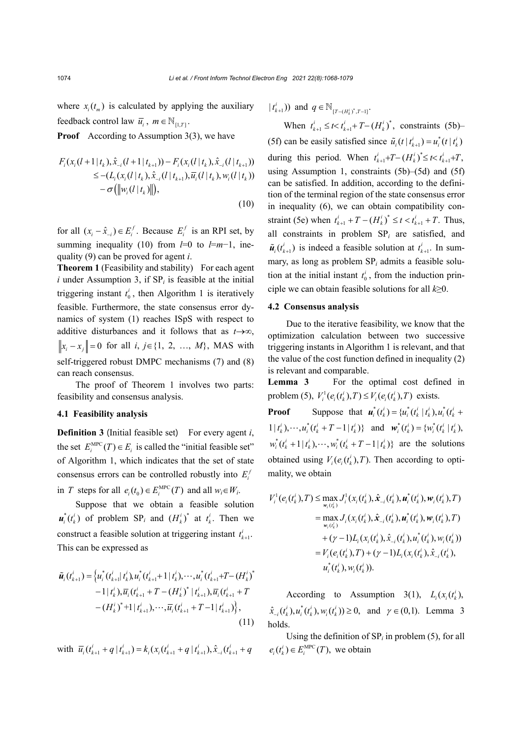where  $x_i(t_m)$  is calculated by applying the auxiliary feedback control law  $\overline{u}_i$ ,  $m \in \mathbb{N}_{[1,T]}$ .

**Proof** According to Assumption 3(3), we have

$$
F_i(x_i(l+1|t_k), \hat{x}_{-i}(l+1|t_{k+1})) - F_i(x_i(l|t_k), \hat{x}_{-i}(l|t_{k+1}))
$$
  
\n
$$
\leq -(L_i(x_i(l|t_k), \hat{x}_{-i}(l|t_{k+1}), \overline{u}_i(l|t_k), w_i(l|t_k))
$$
  
\n
$$
-\sigma(||w_i(l|t_k)||),
$$
\n(10)

for all  $(x_i - \hat{x}_{-i}) \in E_i^f$ . Because  $E_i^f$  is an RPI set, by summing inequality (10) from  $l=0$  to  $l=m-1$ , inequality (9) can be proved for agent *i*.

**Theorem 1** (Feasibility and stability) For each agent  $i$  under Assumption 3, if  $SP<sub>i</sub>$  is feasible at the initial triggering instant  $t_0^i$ , then Algorithm 1 is iteratively feasible. Furthermore, the state consensus error dynamics of system (1) reaches ISpS with respect to additive disturbances and it follows that as *t*→∞,  $||x_i - x_j|| = 0$  for all *i*,  $j \in \{1, 2, ..., M\}$ , MAS with self-triggered robust DMPC mechanisms (7) and (8) can reach consensus.

The proof of Theorem 1 involves two parts: feasibility and consensus analysis.

#### **4.1 Feasibility analysis**

**Definition 3** (Initial feasible set) For every agent *i*, the set  $E_i^{\text{MPC}}(T) \in E_i$  is called the "initial feasible set" of Algorithm 1, which indicates that the set of state consensus errors can be controlled robustly into  $E_i^f$ in *T* steps for all  $e_i(t_0) \in E_i^{\text{MPC}}(T)$  and all  $w_i \in W_i$ .

Suppose that we obtain a feasible solution  $\mathbf{u}_i^*(t_k^i)$  of problem  $\text{SP}_i$  and  $(H_k^i)^*$  at  $t_k^i$ . Then we construct a feasible solution at triggering instant  $t_{k+1}^i$ . This can be expressed as

$$
\tilde{u}_{i}(t_{k+1}^{i}) = \left\{ u_{i}^{*}(t_{k+1}^{i}|t_{k}^{i}), u_{i}^{*}(t_{k+1}^{i}+1|t_{k}^{i}), \cdots, u_{i}^{*}(t_{k+1}^{i}+T-(H_{k}^{i})^{*}) \right. \\ \left. -1 | t_{k}^{i}, \right\} \overline{u}_{i}(t_{k+1}^{i}+T-(H_{k}^{i})^{*}|t_{k+1}^{i}), \overline{u}_{i}(t_{k+1}^{i}+T) \\ \left. - (H_{k}^{i})^{*}+1 | t_{k+1}^{i}, \cdots, \overline{u}_{i}(t_{k+1}^{i}+T-1|t_{k+1}^{i}) \right\}, \tag{11}
$$

with 
$$
\overline{u_i}(t_{k+1}^i + q | t_{k+1}^i) = k_i(x_i(t_{k+1}^i + q | t_{k+1}^i), \hat{x}_{-i}(t_{k+1}^i + q | t_{k+1}^i))
$$

 $(t_{k+1}^i)$  and  $q \in \mathbb{N}_{[T-(H_k^i)^*, T-1]}.$ 

When  $t_{k+1}^i \leq t < t_{k+1}^i + T - (H_k^i)^*$ , constraints (5b)– (5f) can be easily satisfied since  $\tilde{u}_i(t | t_{k+1}^i) = u_i^*(t | t_k^i)$ during this period. When  $t_{k+1}^i + T - (H_k^i)^* \le t < t_{k+1}^i + T$ , using Assumption 1, constraints (5b)–(5d) and (5f) can be satisfied. In addition, according to the definition of the terminal region of the state consensus error in inequality (6), we can obtain compatibility constraint (5e) when  $t_{k+1}^i + T - (H_k^i)^* \le t < t_{k+1}^i + T$ . Thus, all constraints in problem SP*<sup>i</sup>* are satisfied, and  $\tilde{u}_i(t_{k+1}^i)$  is indeed a feasible solution at  $t_{k+1}^i$ . In summary, as long as problem SP*<sup>i</sup>* admits a feasible solution at the initial instant  $t_0^i$ , from the induction principle we can obtain feasible solutions for all *k*≥0.

#### **4.2 Consensus analysis**

Due to the iterative feasibility, we know that the optimization calculation between two successive triggering instants in Algorithm 1 is relevant, and that the value of the cost function defined in inequality (2) is relevant and comparable.

**Lemma 3** For the optimal cost defined in problem (5),  $V_i^1(e_i(t_k^i), T) \le V_i(e_i(t_k^i), T)$  exists.

**Proof** Suppose that  $u_i^*(t_k^i) = \{u_i^*(t_k^i | t_k^i), u_i^*(t_k^i + t_k^i)\}$  $1 | t_k^i, \dots, u_i^*(t_k^i + T - 1 | t_k^i) \}$  and  $\mathbf{w}_i^*(t_k^i) = \{ w_i^*(t_k^i | t_k^i) \}$  $w_i^*(t_k^i + 1 | t_k^i), \dots, w_i^*(t_k^i + T - 1 | t_k^i)$  are the solutions obtained using  $V_i(e_i(t_i), T)$ . Then according to optimality, we obtain

$$
V_i^1(e_i(t_k^i), T) \le \max_{w_i(t_k^i)} J_i^1(x_i(t_k^i), \hat{x}_{-i}(t_k^i), \boldsymbol{u}_i^*(t_k^i), w_i(t_k^i), T)
$$
  
\n
$$
= \max_{w_i(t_k^i)} J_i(x_i(t_k^i), \hat{x}_{-i}(t_k^i), \boldsymbol{u}_i^*(t_k^i), w_i(t_k^i), T)
$$
  
\n
$$
+ (\gamma - 1) L_i(x_i(t_k^i), \hat{x}_{-i}(t_k^i), u_i^*(t_k^i), w_i(t_k^i))
$$
  
\n
$$
= V_i(e_i(t_k^i), T) + (\gamma - 1) L_i(x_i(t_k^i), \hat{x}_{-i}(t_k^i),
$$
  
\n
$$
u_i^*(t_k^i), w_i(t_k^i)).
$$

According to Assumption 3(1),  $L_i(x_i(t_i))$ ,  $\hat{x}_{i}(t_k^i), u_i^*(t_k^i), w_i(t_k^i)) \ge 0$ , and  $\gamma \in (0,1)$ . Lemma 3 holds.

Using the definition of  $SP<sub>i</sub>$  in problem (5), for all  $e_i(t_k^i) \in E_i^{\text{MPC}}(T)$ , we obtain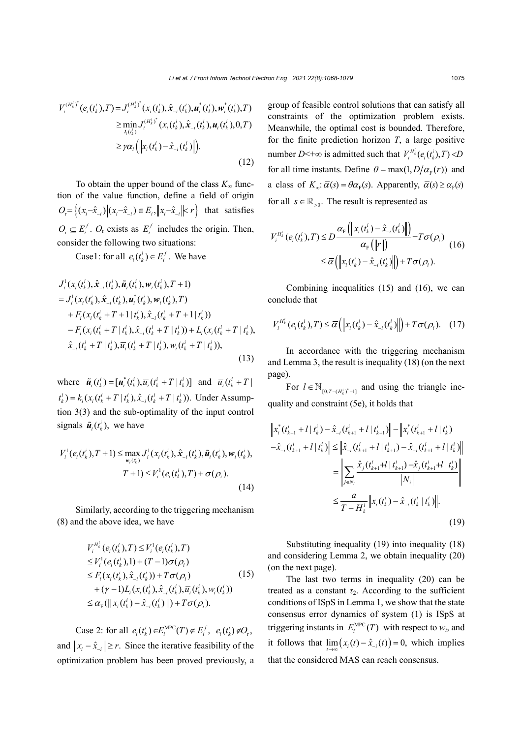$$
V_i^{(H_k^i)^*}(e_i(t_k^i),T) = J_i^{(H_k^i)^*}(x_i(t_k^i), \hat{x}_{-i}(t_k^i), u_i^*(t_k^i), w_i^*(t_k^i), T)
$$
  
\n
$$
\geq \min_{I_i(t_k^i)} J_i^{(H_k^i)^*}(x_i(t_k^i), \hat{x}_{-i}(t_k^i), u_i(t_k^i), 0, T)
$$
  
\n
$$
\geq \gamma \alpha_i \left( \left\| x_i(t_k^i) - \hat{x}_{-i}(t_k^i) \right\| \right).
$$
\n(12)

To obtain the upper bound of the class  $K_{\infty}$  function of the value function, define a field of origin  $O_r = \left\{ (x_i - \hat{x}_{-i}) | (x_i - \hat{x}_{-i}) \in E_i, ||x_i - \hat{x}_{-i}|| < r \right\}$  that satisfies  $O_r \subseteq E_i^f$ .  $O_r$  exists as  $E_i^f$  includes the origin. Then, consider the following two situations:

Case1: for all  $e_i(t_k^i) \in E_i^f$ . We have

$$
J_{i}^{1}(x_{i}(t_{k}^{i}), \hat{x}_{-i}(t_{k}^{i}), \tilde{u}_{i}(t_{k}^{i}), w_{i}(t_{k}^{i}), T+1)
$$
  
\n
$$
= J_{i}^{1}(x_{i}(t_{k}^{i}), \hat{x}_{-i}(t_{k}^{i}), u_{i}^{*}(t_{k}^{i}), w_{i}(t_{k}^{i}), T)
$$
  
\n
$$
+ F_{i}(x_{i}(t_{k}^{i} + T + 1 | t_{k}^{i}), \hat{x}_{-i}(t_{k}^{i} + T + 1 | t_{k}^{i}))
$$
  
\n
$$
- F_{i}(x_{i}(t_{k}^{i} + T | t_{k}^{i}), \hat{x}_{-i}(t_{k}^{i} + T | t_{k}^{i})) + L_{i}(x_{i}(t_{k}^{i} + T | t_{k}^{i}), \hat{x}_{-i}(t_{k}^{i} + T | t_{k}^{i}), \tilde{u}_{i}(t_{k}^{i} + T | t_{k}^{i}), w_{i}(t_{k}^{i} + T | t_{k}^{i})),
$$
\n(13)

where  $\tilde{u}_i(t_k^i) = [u_i^*(t_k^i), \overline{u}_i(t_k^i + T | t_k^i)]$  and  $\overline{u}_i(t_k^i + T | t_k^i)$  $t_k^i$ ) =  $k_i$ ( $x_i$ ( $t_k^i$  + T |  $t_k^i$ ),  $\hat{x}_{i}$ ( $t_k^i$  + T |  $t_k^i$ )). Under Assumption 3(3) and the sub-optimality of the input control signals  $\tilde{u}_i(t_k^i)$ , we have

$$
V_i^1(e_i(t_k^i), T+1) \le \max_{w_i(t_k^i)} J_i^1(x_i(t_k^i), \hat{x}_{-i}(t_k^i), \tilde{u}_i(t_k^i), w_i(t_k^i),
$$
  
\n
$$
T+1) \le V_i^1(e_i(t_k^i), T) + \sigma(\rho_i).
$$
\n(14)

Similarly, according to the triggering mechanism (8) and the above idea, we have

$$
V_i^{H_k^i}(e_i(t_k^i), T) \leq V_i^1(e_i(t_k^i), T)
$$
  
\n
$$
\leq V_i^1(e_i(t_k^i), 1) + (T - 1)\sigma(\rho_i)
$$
  
\n
$$
\leq F_i(x_i(t_k^i), \hat{x}_{-i}(t_k^i)) + T\sigma(\rho_i)
$$
  
\n
$$
+ (\gamma - 1)L_i(x_i(t_k^i), \hat{x}_{-i}(t_k^i), \overline{u}_i(t_k^i), w_i(t_k^i))
$$
  
\n
$$
\leq \alpha_{\text{F}}(||x_i(t_k^i) - \hat{x}_{-i}(t_k^i)||) + T\sigma(\rho_i).
$$
\n(15)

Case 2: for all  $e_i(t_k^i) \in E_i^{\text{MPC}}(T) \notin E_i^f$ ,  $e_i(t_k^i) \notin O_r$ , and  $||x_i - \hat{x}_{-i}|| \ge r$ . Since the iterative feasibility of the optimization problem has been proved previously, a group of feasible control solutions that can satisfy all constraints of the optimization problem exists. Meanwhile, the optimal cost is bounded. Therefore, for the finite prediction horizon  $T$ , a large positive number  $D<+\infty$  is admitted such that  $V_i^{H_k^i}(e_i(t_k^i), T) < D$ for all time instants. Define  $\theta = \max(1, D/\alpha_{F}(r))$  and a class of  $K_{\alpha}$ :  $\overline{\alpha}(s) = \theta \alpha_{F}(s)$ . Apparently,  $\overline{\alpha}(s) \ge \alpha_{F}(s)$ for all  $s \in \mathbb{R}_{>0}$ . The result is represented as

$$
V_i^{H_k^i}(e_i(t_k^i), T) \le D \frac{\alpha_{\mathrm{F}}(\left\|x_i(t_k^i) - \hat{x}_{-i}(t_k^i)\right\|)}{\alpha_{\mathrm{F}}(\left\|r\right\|)} + T\sigma(\rho_i)
$$
\n
$$
\le \overline{\alpha}\left(\left\|x_i(t_k^i) - \hat{x}_{-i}(t_k^i)\right\|\right) + T\sigma(\rho_i).
$$
\n(16)

Combining inequalities (15) and (16), we can conclude that

$$
V_i^{H_k^i}(e_i(t_k^i),T) \leq \overline{\alpha}\left(\left\|x_i(t_k^i)-\hat{x}_{-i}(t_k^i)\right\|\right) + T\sigma(\rho_i). \quad (17)
$$

In accordance with the triggering mechanism and Lemma 3, the result is inequality (18) (on the next page).

For  $l \in \mathbb{N}_{[0, T-(H_k^i)^*-1]}$  and using the triangle inequality and constraint (5e), it holds that

$$
\|x_{i}^{*}(t_{k+1}^{i} + l | t_{k}^{i}) - \hat{x}_{-i}(t_{k+1}^{i} + l | t_{k+1}^{i})\| - \|x_{i}^{*}(t_{k+1}^{i} + l | t_{k}^{i})
$$
  

$$
-\hat{x}_{-i}(t_{k+1}^{i} + l | t_{k}^{i})\| \leq \|\hat{x}_{-i}(t_{k+1}^{i} + l | t_{k+1}^{i}) - \hat{x}_{-i}(t_{k+1}^{i} + l | t_{k}^{i})\|
$$
  

$$
= \left\|\sum_{j\in N_{i}} \frac{\hat{x}_{j}(t_{k+1}^{i} + l | t_{k+1}^{i}) - \hat{x}_{j}(t_{k+1}^{i} + l | t_{k}^{i})}{|N_{i}|}\right\|
$$
  

$$
\leq \frac{a}{T - H_{k}^{i}} \|x_{i}(t_{k}^{i}) - \hat{x}_{-i}(t_{k}^{i} | t_{k}^{i})\|.
$$
 (19)

Substituting inequality (19) into inequality (18) and considering Lemma 2, we obtain inequality (20) (on the next page).

The last two terms in inequality (20) can be treated as a constant  $\tau_2$ . According to the sufficient conditions of ISpS in Lemma 1, we show that the state consensus error dynamics of system (1) is ISpS at triggering instants in  $E_i^{\text{MPC}}(T)$  with respect to  $w_i$ , and it follows that  $\lim_{t \to \infty} (x_i(t) - \hat{x}_{-i}(t)) = 0$ , which implies that the considered MAS can reach consensus.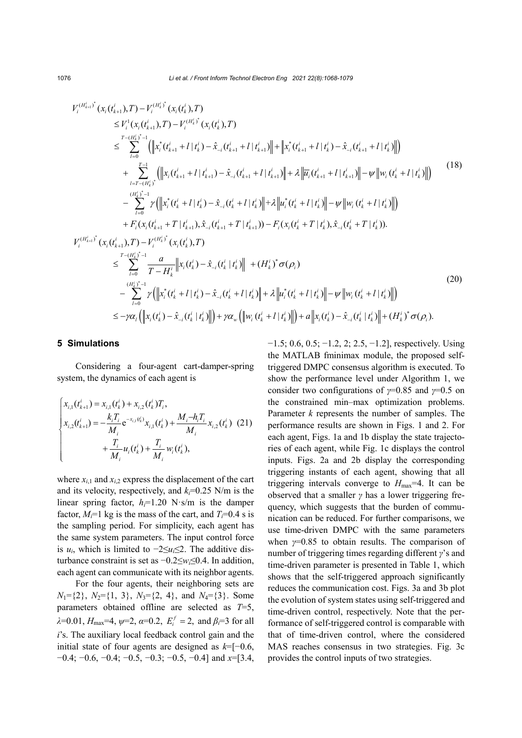$$
V_{i}^{(H_{k+1}^i)}(x_i(t_{k+1}^i), T) - V_{i}^{(H_{k}^i)}(x_i(t_k^i), T)
$$
  
\n
$$
\leq V_{i}^{1}(x_i(t_{k+1}^i), T) - V_{i}^{(H_{k}^i)}(x_i(t_k^i), T)
$$
  
\n
$$
\leq \sum_{l=0}^{T-(H_{k}^i)^{*}-1} (\left\|x_i(t_{k+1}^i + l | t_k^i) - \hat{x}_{-i}(t_{k+1}^i + l | t_{k+1}^i) \right\| + \left\|x_i^*(t_{k+1}^i + l | t_k^i) - \hat{x}_{-i}(t_{k+1}^i + l | t_k^i) \right\|)
$$
  
\n
$$
+ \sum_{l=T-(H_{k}^i)^*}^{T-1} (\left\|x_i(t_{k+1}^i + l | t_{k+1}^i) - \hat{x}_{-i}(t_{k+1}^i + l | t_{k+1}^i) \right\| + \lambda \left\| \overline{u}_i(t_{k+1}^i + l | t_{k+1}^i) \right\| - \psi \left\| w_i(t_k^i + l | t_k^i) \right\| \right)
$$
  
\n
$$
- \sum_{l=0}^{(H_{k}^i)^*-1} \gamma (\left\|x_i^*(t_k^i + l | t_k^i) - \hat{x}_{-i}(t_k^i + l | t_k^i) \right\| + \lambda \left\|u_i^*(t_k^i + l | t_k^i) \right\| - \psi \left\|w_i(t_k^i + l | t_k^i) \right\|)
$$
  
\n
$$
+ F_i(x_i(t_{k+1}^i + T | t_{k+1}^i), \hat{x}_{-i}(t_k^i + T | t_{k+1}^i)) - F_i(x_i(t_k^i + T | t_k^i), \hat{x}_{-i}(t_k^i + T | t_k^i)).
$$
  
\n
$$
V_i^{(H_{k+1}^i)}(x_i(t_{k+1}^i), T) - V_i^{(H_k^i)}(x_i(t_k^i), T)
$$
  
\n
$$
\leq \sum_{l=0}^{T-(H_{k}^i)^*-1} \frac{a}{T - H_k^i} \left\|x_i(t_k^i) - \hat{x}_{-i}(t
$$

#### **5 Simulations**

Considering a four-agent cart-damper-spring system, the dynamics of each agent is

$$
\begin{cases}\n x_{i,1}(t_{k+1}^i) = x_{i,1}(t_k^i) + x_{i,2}(t_k^i)T_i, \\
x_{i,2}(t_{k+1}^i) = -\frac{k_i T_i}{M_i} e^{-x_{i,1}(t_k^i)} x_{i,1}(t_k^i) + \frac{M_i - h_i T_i}{M_i} x_{i,2}(t_k^i) \tag{21} \\
+ \frac{T_i}{M_i} u_i(t_k^i) + \frac{T_i}{M_i} w_i(t_k^i),\n\end{cases}
$$

where  $x_{i,1}$  and  $x_{i,2}$  express the displacement of the cart and its velocity, respectively, and  $k_f$ =0.25 N/m is the linear spring factor,  $h_i=1.20$  N·s/m is the damper factor,  $M_i=1$  kg is the mass of the cart, and  $T_i=0.4$  s is the sampling period. For simplicity, each agent has the same system parameters. The input control force is  $u_i$ , which is limited to  $-2 \le u_i \le 2$ . The additive disturbance constraint is set as −0.2≤*wi*≤0.4. In addition, each agent can communicate with its neighbor agents.

For the four agents, their neighboring sets are  $N_1$ ={2},  $N_2$ ={1, 3},  $N_3$ ={2, 4}, and  $N_4$ ={3}. Some parameters obtained offline are selected as *T*=5, *λ*=0.01, *H*<sub>max</sub>=4,  $\psi$ =2, *α*=0.2, *E*<sup>*f*</sup> = 2, and *β*<sup>*i*=3</sup> for all *i*'s. The auxiliary local feedback control gain and the initial state of four agents are designed as  $k=[-0.6,$ −0.4; −0.6, −0.4; −0.5, −0.3; −0.5, −0.4] and *x*=[3.4, −1.5; 0.6, 0.5; −1.2, 2; 2.5, −1.2], respectively. Using the MATLAB fminimax module, the proposed selftriggered DMPC consensus algorithm is executed. To show the performance level under Algorithm 1, we consider two configurations of *γ*=0.85 and *γ*=0.5 on the constrained min–max optimization problems. Parameter *k* represents the number of samples. The performance results are shown in Figs. 1 and 2. For each agent, Figs. 1a and 1b display the state trajectories of each agent, while Fig. 1c displays the control inputs. Figs. 2a and 2b display the corresponding triggering instants of each agent, showing that all triggering intervals converge to  $H_{\text{max}}=4$ . It can be observed that a smaller *γ* has a lower triggering frequency, which suggests that the burden of communication can be reduced. For further comparisons, we use time-driven DMPC with the same parameters when *γ*=0.85 to obtain results. The comparison of number of triggering times regarding different *γ*'s and time-driven parameter is presented in Table 1, which shows that the self-triggered approach significantly reduces the communication cost. Figs. 3a and 3b plot the evolution of system states using self-triggered and time-driven control, respectively. Note that the performance of self-triggered control is comparable with that of time-driven control, where the considered MAS reaches consensus in two strategies. Fig. 3c provides the control inputs of two strategies.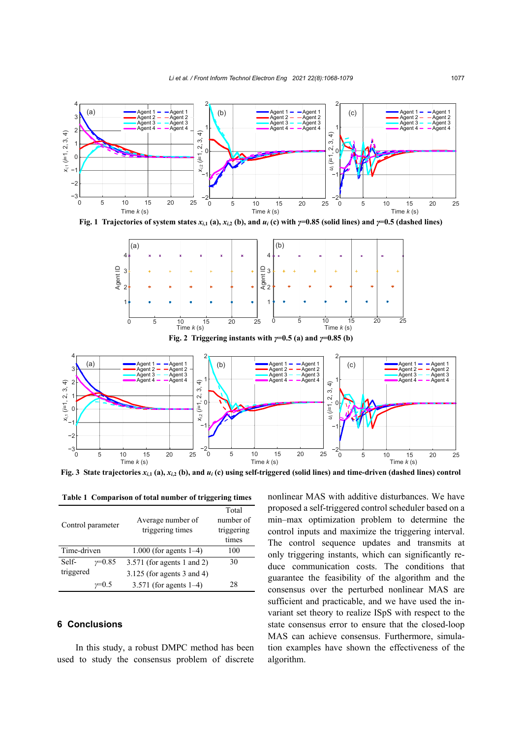

**Fig. 1** Trajectories of system states  $x_{i,1}$  (a),  $x_{i,2}$  (b), and  $u_i$  (c) with  $\gamma=0.85$  (solid lines) and  $\gamma=0.5$  (dashed lines)



**Fig. 2 Triggering instants with** *γ***=0.5 (a) and** *γ***=0.85 (b)**



**Fig. 3** State trajectories  $x_{i,1}$  (a),  $x_{i,2}$  (b), and  $u_i$  (c) using self-triggered (solid lines) and time-driven (dashed lines) control

**Table 1 Comparison of total number of triggering times**

| Control parameter |          |                              | Total      |
|-------------------|----------|------------------------------|------------|
|                   |          | Average number of            | number of  |
|                   |          | triggering times             | triggering |
|                   |          |                              | times      |
| Time-driven       |          | 1.000 (for agents $1-4$ )    | 100        |
| Self-             | $v=0.85$ | $3.571$ (for agents 1 and 2) | 30         |
| triggered         |          | $3.125$ (for agents 3 and 4) |            |
|                   |          | 3.571 (for agents $1-4$ )    | 28         |

# **6 Conclusions**

In this study, a robust DMPC method has been used to study the consensus problem of discrete

nonlinear MAS with additive disturbances. We have proposed a self-triggered control scheduler based on a min–max optimization problem to determine the control inputs and maximize the triggering interval. The control sequence updates and transmits at only triggering instants, which can significantly reduce communication costs. The conditions that guarantee the feasibility of the algorithm and the consensus over the perturbed nonlinear MAS are sufficient and practicable, and we have used the invariant set theory to realize ISpS with respect to the state consensus error to ensure that the closed-loop MAS can achieve consensus. Furthermore, simulation examples have shown the effectiveness of the algorithm.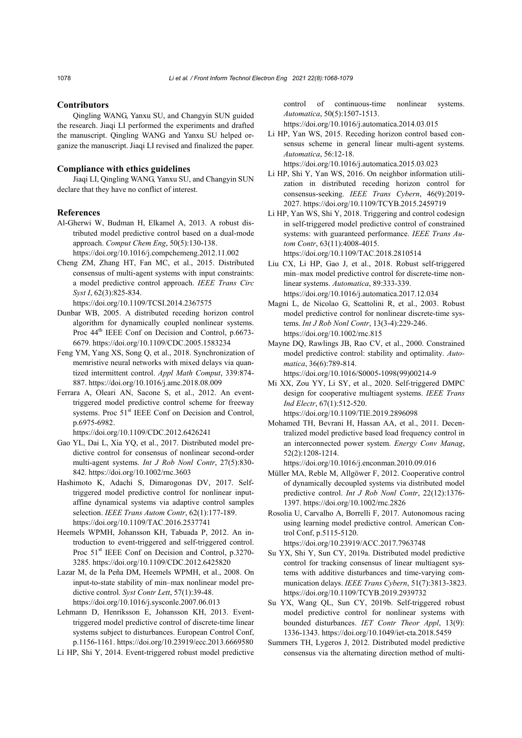#### **Contributors**

Qingling WANG, Yanxu SU, and Changyin SUN guided the research. Jiaqi LI performed the experiments and drafted the manuscript. Qingling WANG and Yanxu SU helped organize the manuscript. Jiaqi LI revised and finalized the paper.

#### **Compliance with ethics guidelines**

Jiaqi LI, Qingling WANG, Yanxu SU, and Changyin SUN declare that they have no conflict of interest.

#### **References**

- Al-Gherwi W, Budman H, Elkamel A, 2013. A robust distributed model predictive control based on a dual-mode approach. *Comput Chem Eng*, 50(5):130-138. https://doi.org/10.1016/j.compchemeng.2012.11.002
- Cheng ZM, Zhang HT, Fan MC, et al., 2015. Distributed consensus of multi-agent systems with input constraints: a model predictive control approach. *IEEE Trans Circ Syst I*, 62(3):825-834.

https://doi.org/10.1109/TCSI.2014.2367575

- Dunbar WB, 2005. A distributed receding horizon control algorithm for dynamically coupled nonlinear systems. Proc 44<sup>th</sup> IEEE Conf on Decision and Control, p.6673-6679. https://doi.org/10.1109/CDC.2005.1583234
- Feng YM, Yang XS, Song Q, et al., 2018. Synchronization of memristive neural networks with mixed delays via quantized intermittent control. *Appl Math Comput*, 339:874- 887. https://doi.org/10.1016/j.amc.2018.08.009
- Ferrara A, Oleari AN, Sacone S, et al., 2012. An eventtriggered model predictive control scheme for freeway systems. Proc 51<sup>st</sup> IEEE Conf on Decision and Control, p.6975-6982.

https://doi.org/10.1109/CDC.2012.6426241

- Gao YL, Dai L, Xia YQ, et al., 2017. Distributed model predictive control for consensus of nonlinear second-order multi-agent systems. *Int J Rob Nonl Contr*, 27(5):830- 842. https://doi.org/10.1002/rnc.3603
- Hashimoto K, Adachi S, Dimarogonas DV, 2017. Selftriggered model predictive control for nonlinear inputaffine dynamical systems via adaptive control samples selection. *IEEE Trans Autom Contr*, 62(1):177-189. https://doi.org/10.1109/TAC.2016.2537741
- Heemels WPMH, Johansson KH, Tabuada P, 2012. An introduction to event-triggered and self-triggered control. Proc 51<sup>st</sup> IEEE Conf on Decision and Control, p.3270-3285. https://doi.org/10.1109/CDC.2012.6425820
- Lazar M, de la Peña DM, Heemels WPMH, et al., 2008. On input-to-state stability of min–max nonlinear model predictive control. *Syst Contr Lett*, 57(1):39-48. https://doi.org/10.1016/j.sysconle.2007.06.013
- Lehmann D, Henriksson E, Johansson KH, 2013. Eventtriggered model predictive control of discrete-time linear systems subject to disturbances. European Control Conf, p.1156-1161. https://doi.org/10.23919/ecc.2013.6669580
- Li HP, Shi Y, 2014. Event-triggered robust model predictive

control of continuous-time nonlinear systems. *Automatica*, 50(5):1507-1513.

https://doi.org/10.1016/j.automatica.2014.03.015

Li HP, Yan WS, 2015. Receding horizon control based consensus scheme in general linear multi-agent systems. *Automatica*, 56:12-18.

https://doi.org/10.1016/j.automatica.2015.03.023

- Li HP, Shi Y, Yan WS, 2016. On neighbor information utilization in distributed receding horizon control for consensus-seeking. *IEEE Trans Cybern*, 46(9):2019- 2027. https://doi.org/10.1109/TCYB.2015.2459719
- Li HP, Yan WS, Shi Y, 2018. Triggering and control codesign in self-triggered model predictive control of constrained systems: with guaranteed performance. *IEEE Trans Autom Contr*, 63(11):4008-4015. https://doi.org/10.1109/TAC.2018.2810514
- Liu CX, Li HP, Gao J, et al., 2018. Robust self-triggered min–max model predictive control for discrete-time nonlinear systems. *Automatica*, 89:333-339. https://doi.org/10.1016/j.automatica.2017.12.034
- Magni L, de Nicolao G, Scattolini R, et al., 2003. Robust model predictive control for nonlinear discrete‐time systems. *Int J Rob Nonl Contr*, 13(3-4):229-246. https://doi.org/10.1002/rnc.815
- Mayne DQ, Rawlings JB, Rao CV, et al., 2000. Constrained model predictive control: stability and optimality. *Automatica*, 36(6):789-814.

https://doi.org/10.1016/S0005-1098(99)00214-9

- Mi XX, Zou YY, Li SY, et al., 2020. Self-triggered DMPC design for cooperative multiagent systems. *IEEE Trans Ind Electr*, 67(1):512-520. https://doi.org/10.1109/TIE.2019.2896098
- Mohamed TH, Bevrani H, Hassan AA, et al., 2011. Decentralized model predictive based load frequency control in an interconnected power system. *Energy Conv Manag*, 52(2):1208-1214.

https://doi.org/10.1016/j.enconman.2010.09.016

- Müller MA, Reble M, Allgöwer F, 2012. Cooperative control of dynamically decoupled systems via distributed model predictive control. *Int J Rob Nonl Contr*, 22(12):1376- 1397. https://doi.org/10.1002/rnc.2826
- Rosolia U, Carvalho A, Borrelli F, 2017. Autonomous racing using learning model predictive control. American Control Conf, p.5115-5120.
- https://doi.org/10.23919/ACC.2017.7963748 Su YX, Shi Y, Sun CY, 2019a. Distributed model predictive control for tracking consensus of linear multiagent systems with additive disturbances and time-varying com-
- munication delays. *IEEE Trans Cybern*, 51(7):3813-3823. https://doi.org/10.1109/TCYB.2019.2939732 Su YX, Wang QL, Sun CY, 2019b. Self-triggered robust
- model predictive control for nonlinear systems with bounded disturbances. *IET Contr Theor Appl*, 13(9): 1336-1343. https://doi.org/10.1049/iet-cta.2018.5459
- Summers TH, Lygeros J, 2012. Distributed model predictive consensus via the alternating direction method of multi-